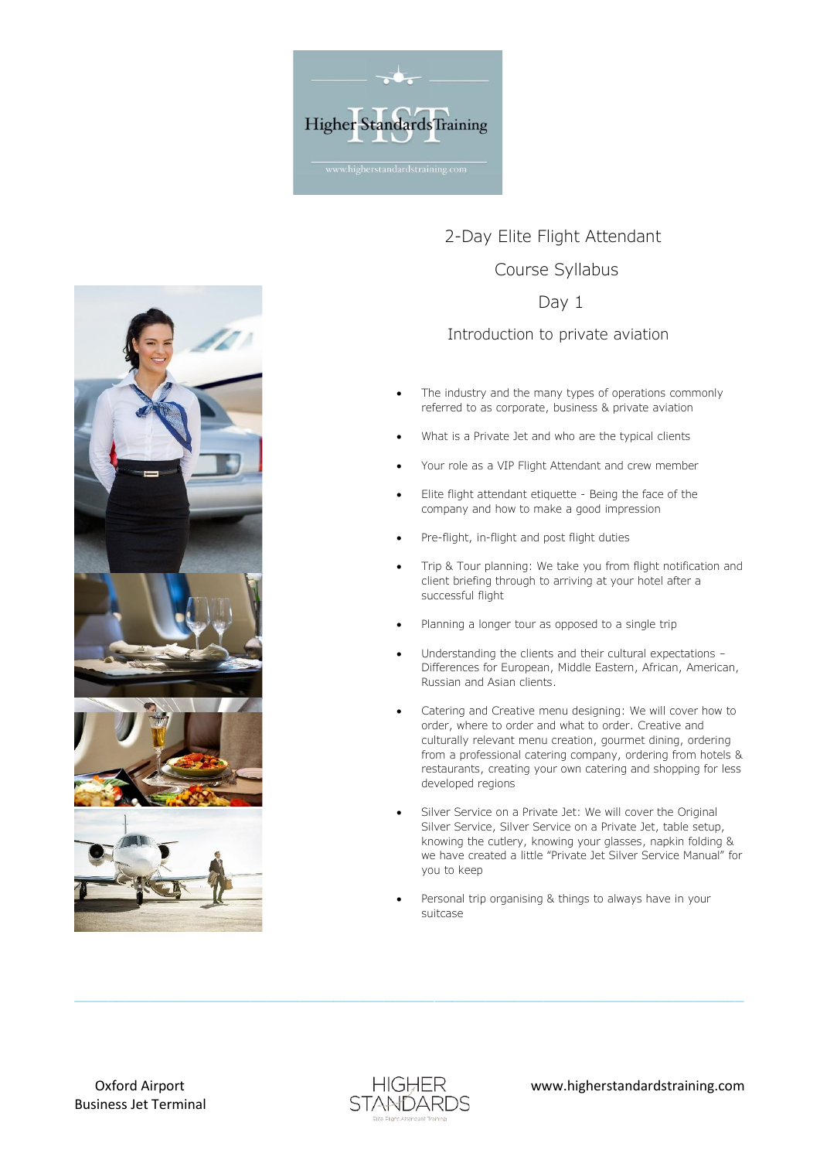



## 2-Day Elite Flight Attendant Course Syllabus

## Day 1

Introduction to private aviation

- The industry and the many types of operations commonly referred to as corporate, business & private aviation
- What is a Private Jet and who are the typical clients
- Your role as a VIP Flight Attendant and crew member
- Elite flight attendant etiquette Being the face of the company and how to make a good impression
- Pre-flight, in-flight and post flight duties
- Trip & Tour planning: We take you from flight notification and client briefing through to arriving at your hotel after a successful flight
- Planning a longer tour as opposed to a single trip
- Understanding the clients and their cultural expectations -Differences for European, Middle Eastern, African, American, Russian and Asian clients.
- Catering and Creative menu designing: We will cover how to order, where to order and what to order. Creative and culturally relevant menu creation, gourmet dining, ordering from a professional catering company, ordering from hotels & restaurants, creating your own catering and shopping for less developed regions
- Silver Service on a Private Jet: We will cover the Original Silver Service, Silver Service on a Private Jet, table setup, knowing the cutlery, knowing your glasses, napkin folding & we have created a little "Private Jet Silver Service Manual" for you to keep
- Personal trip organising & things to always have in your suitcase



 $\_$  , and the state of the state of the state of the state of the state of the state of the state of the state of the state of the state of the state of the state of the state of the state of the state of the state of the